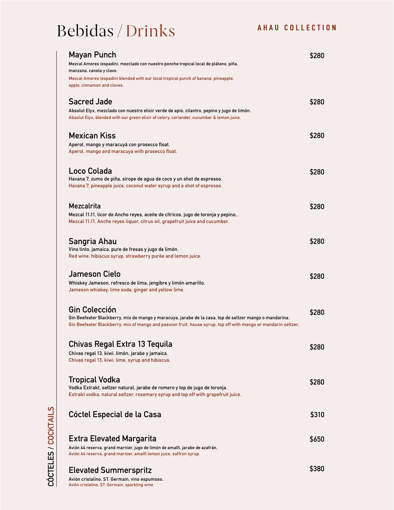## Bebidas / Drinks

| <b>Mayan Punch</b><br>Mezcal Amores (espadin), mezclado con nuestro ponche tropical local de plátano, piña,<br>manzana, canela y clavo.                                                                       |                                                                                                                                                                                                                           | 5280  |
|---------------------------------------------------------------------------------------------------------------------------------------------------------------------------------------------------------------|---------------------------------------------------------------------------------------------------------------------------------------------------------------------------------------------------------------------------|-------|
| Mezcal Amores (espadin) blended with our local tropical punch of banana, pineapple,<br>apple, cinnamon and cloves.                                                                                            |                                                                                                                                                                                                                           |       |
| <b>Sacred Jade</b><br>Absolut Elyx, mezclado con nuestro elixir verde de apio, cilantro, pepino y jugo de limón.<br>Absolut Elyx, blended with our green elixir of celery, coriander, cucumber & lemon juice. |                                                                                                                                                                                                                           | \$280 |
| <b>Mexican Kiss</b><br>Aperol, mango y maracuyá con prosecco float.<br>Aperol, mango and maracuya with prosecco float.                                                                                        |                                                                                                                                                                                                                           | \$280 |
| Loco Colada<br>Havana 7, zumo de piña, sirope de agua de coco y un shot de espresso.<br>Havana 7, pineapple juice, coconut water syrup and a shot of espresso.                                                |                                                                                                                                                                                                                           | \$280 |
| Mezcalrita<br>Mezcal 11:11, licor de Ancho reyes, aceite de cítricos, jugo de toronja y pepino<br>Mezcal 11.11, Ancho reyes liguor, citrus oil, grapefruit juice and cucumber.                                |                                                                                                                                                                                                                           | \$280 |
| Sangria Ahau<br>Vino tinto, jamaica, pure de fresas y jugo de limón.<br>Red wine, hibiscus syrup, strawberry purée and lemon juice.                                                                           |                                                                                                                                                                                                                           | \$280 |
| <b>Jameson Cielo</b><br>Whiskey Jameson, refresco de lima, jengibre y limón amarillo.<br>Jameson whiskey, lime soda, ginger and yellow lime.                                                                  |                                                                                                                                                                                                                           | \$280 |
| <b>Gin Colección</b>                                                                                                                                                                                          | Gin Beefeater Blackberry, mix de mango y maracuya, jarabe de la casa, top de seltzer mango o mandarina.<br>Gin Beefeater Blackberry, mix of mango and passion fruit, house syrup, top off with mango or mandarin seltzer. | \$280 |
| Chivas Regal Extra 13 Tequila<br>Chivas regal 13, kiwi, limón, jarabe y jamaica.<br>Chivas regal 13, kiwi, lime, syrup and hibiscus.                                                                          |                                                                                                                                                                                                                           | \$280 |
| Tropical Vodka<br>Vodka Extrakt, seltzer natural, jarabe de romero y top de jugo de toronja.<br>Extrakt vodka, natural seltzer, rosemary syrup and top off with grapefruit juice.                             |                                                                                                                                                                                                                           | \$280 |
| Cóctel Especial de la Casa                                                                                                                                                                                    |                                                                                                                                                                                                                           | \$310 |
| <b>Extra Elevated Margarita</b><br>Avión 44 reserva, grand marnier, jugo de limón de amalfi, jarabe de azafrán.<br>Avión 44 reserva, grand marnier, amalfi lemon juice, saffron syrup.                        |                                                                                                                                                                                                                           | \$650 |
| <b>Elevated Summerspritz</b>                                                                                                                                                                                  |                                                                                                                                                                                                                           | \$380 |

**Avión cristalino, ST. Germain, vino espumoso. Avión cristalino, ST. Germain, sparkling wine.**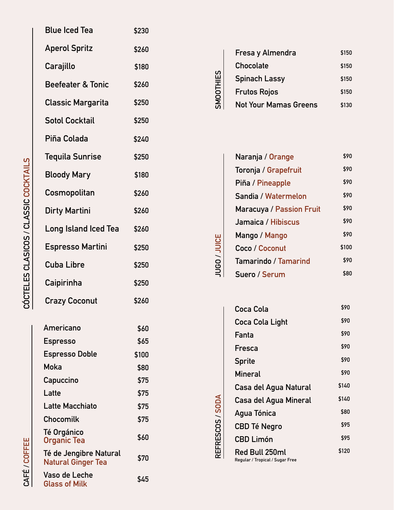| <b>Blue Iced Tea</b>                                | \$230 |
|-----------------------------------------------------|-------|
| <b>Aperol Spritz</b>                                | \$260 |
| Carajillo                                           | \$180 |
| <b>Beefeater &amp; Tonic</b>                        | \$260 |
| <b>Classic Margarita</b>                            | \$250 |
| <b>Sotol Cocktail</b>                               | \$250 |
| Piña Colada                                         | \$240 |
| <b>Tequila Sunrise</b>                              | \$250 |
| <b>Bloody Mary</b>                                  | \$180 |
| Cosmopolitan                                        | \$260 |
| <b>Dirty Martini</b>                                | \$260 |
| <b>Long Island Iced Tea</b>                         | \$260 |
| <b>Espresso Martini</b>                             | \$250 |
| <b>Cuba Libre</b>                                   | \$250 |
| Caipirinha                                          | \$250 |
| <b>Crazy Coconut</b>                                | \$260 |
| Americano                                           | \$60  |
| <b>Espresso</b>                                     | \$65  |
| <b>Espresso Doble</b>                               | \$100 |
| Moka                                                | \$80  |
| Capuccino                                           | \$75  |
|                                                     |       |
| Latte                                               | \$75  |
| Latte Macchiato                                     | \$75  |
| Chocomilk                                           | \$75  |
| <b>Té Orgánico</b><br>Organic Tea                   | \$60  |
| Té de Jengibre Natural<br><b>Natural Ginger Tea</b> | \$70  |

|           | Fresa y Almendra                | \$150 |  |  |  |
|-----------|---------------------------------|-------|--|--|--|
| SMOOTHIES | <b>Chocolate</b>                | \$150 |  |  |  |
|           | Spinach Lassy                   | \$150 |  |  |  |
|           | <b>Frutos Rojos</b>             | \$150 |  |  |  |
|           | <b>Not Your Mamas Greens</b>    | \$130 |  |  |  |
|           |                                 |       |  |  |  |
|           |                                 |       |  |  |  |
|           | Naranja / Orange                | \$90  |  |  |  |
|           | Toronja / Grapefruit            | \$90  |  |  |  |
|           | Piña / Pineapple                | \$90  |  |  |  |
|           | Sandia / Watermelon             |       |  |  |  |
|           | <b>Maracuya / Passion Fruit</b> | \$90  |  |  |  |
|           | Jamaica / Hibiscus              | \$90  |  |  |  |
|           | Mango / Mango                   | \$90  |  |  |  |
|           | Coco / Coconut                  | \$100 |  |  |  |

| Naranja / Orange                | \$90  |
|---------------------------------|-------|
| Toronja / Grapefruit            | \$90  |
| Piña / Pineapple                | \$90  |
| Sandia / Watermelon             | \$90  |
| <b>Maracuya / Passion Fruit</b> | \$90  |
| Jamaica / Hibiscus              | \$90  |
| Mango / Mango                   | \$90  |
| Coco / Coconut                  | \$100 |
| <b>Tamarindo / Tamarind</b>     | \$90  |
| Suero / Serum                   | \$80  |
|                                 |       |

**JUGO /** 

**REFRESCOS / SODA**

REFRESCOS / SODA

| Coca Cola                                         | \$90  |
|---------------------------------------------------|-------|
| Coca Cola Light                                   | \$90  |
| Fanta                                             | \$90  |
| Fresca                                            | \$90  |
| <b>Sprite</b>                                     | \$90  |
| Mineral                                           | \$90  |
| Casa del Agua Natural                             | \$140 |
| Casa del Agua Mineral                             | \$140 |
| Agua Tónica                                       | \$80  |
| <b>CBD Té Negro</b>                               | \$95  |
| CBD Limón                                         | \$95  |
| Red Bull 250ml<br>Regular / Tropical / Sugar Free | \$120 |

**CAFÉ / COFFEE**